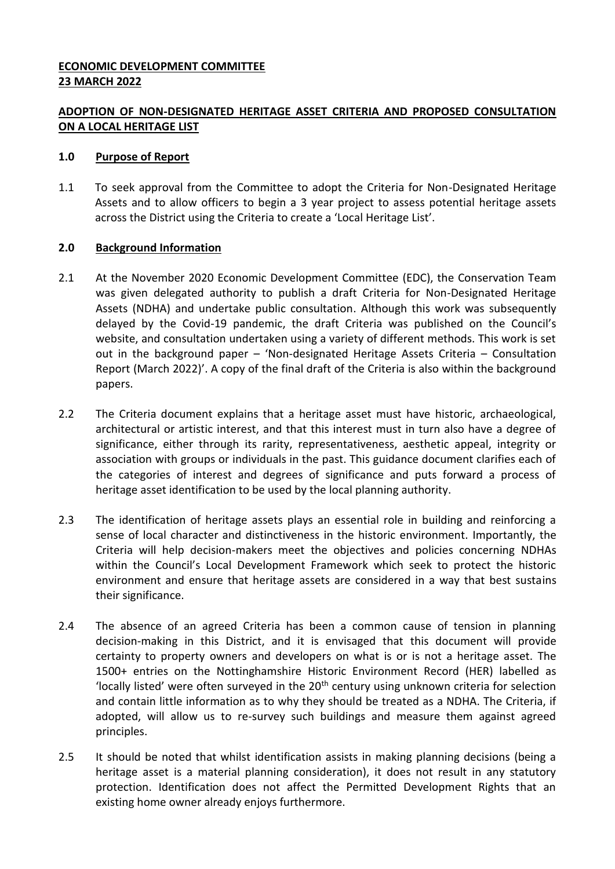## **ECONOMIC DEVELOPMENT COMMITTEE 23 MARCH 2022**

# **ADOPTION OF NON-DESIGNATED HERITAGE ASSET CRITERIA AND PROPOSED CONSULTATION ON A LOCAL HERITAGE LIST**

#### **1.0 Purpose of Report**

1.1 To seek approval from the Committee to adopt the Criteria for Non-Designated Heritage Assets and to allow officers to begin a 3 year project to assess potential heritage assets across the District using the Criteria to create a 'Local Heritage List'.

## **2.0 Background Information**

- 2.1 At the November 2020 Economic Development Committee (EDC), the Conservation Team was given delegated authority to publish a draft Criteria for Non-Designated Heritage Assets (NDHA) and undertake public consultation. Although this work was subsequently delayed by the Covid-19 pandemic, the draft Criteria was published on the Council's website, and consultation undertaken using a variety of different methods. This work is set out in the background paper – 'Non-designated Heritage Assets Criteria – Consultation Report (March 2022)'. A copy of the final draft of the Criteria is also within the background papers.
- 2.2 The Criteria document explains that a heritage asset must have historic, archaeological, architectural or artistic interest, and that this interest must in turn also have a degree of significance, either through its rarity, representativeness, aesthetic appeal, integrity or association with groups or individuals in the past. This guidance document clarifies each of the categories of interest and degrees of significance and puts forward a process of heritage asset identification to be used by the local planning authority.
- 2.3 The identification of heritage assets plays an essential role in building and reinforcing a sense of local character and distinctiveness in the historic environment. Importantly, the Criteria will help decision-makers meet the objectives and policies concerning NDHAs within the Council's Local Development Framework which seek to protect the historic environment and ensure that heritage assets are considered in a way that best sustains their significance.
- 2.4 The absence of an agreed Criteria has been a common cause of tension in planning decision-making in this District, and it is envisaged that this document will provide certainty to property owners and developers on what is or is not a heritage asset. The 1500+ entries on the Nottinghamshire Historic Environment Record (HER) labelled as 'locally listed' were often surveyed in the  $20<sup>th</sup>$  century using unknown criteria for selection and contain little information as to why they should be treated as a NDHA. The Criteria, if adopted, will allow us to re-survey such buildings and measure them against agreed principles.
- 2.5 It should be noted that whilst identification assists in making planning decisions (being a heritage asset is a material planning consideration), it does not result in any statutory protection. Identification does not affect the Permitted Development Rights that an existing home owner already enjoys furthermore.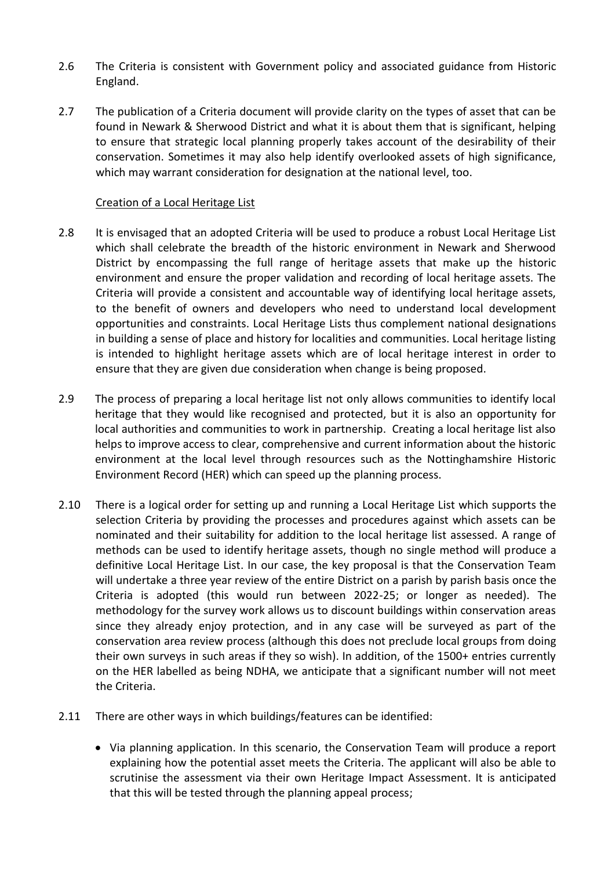- 2.6 The Criteria is consistent with Government policy and associated guidance from Historic England.
- 2.7 The publication of a Criteria document will provide clarity on the types of asset that can be found in Newark & Sherwood District and what it is about them that is significant, helping to ensure that strategic local planning properly takes account of the desirability of their conservation. Sometimes it may also help identify overlooked assets of high significance, which may warrant consideration for designation at the national level, too.

#### Creation of a Local Heritage List

- 2.8 It is envisaged that an adopted Criteria will be used to produce a robust Local Heritage List which shall celebrate the breadth of the historic environment in Newark and Sherwood District by encompassing the full range of heritage assets that make up the historic environment and ensure the proper validation and recording of local heritage assets. The Criteria will provide a consistent and accountable way of identifying local heritage assets, to the benefit of owners and developers who need to understand local development opportunities and constraints. Local Heritage Lists thus complement national designations in building a sense of place and history for localities and communities. Local heritage listing is intended to highlight heritage assets which are of local heritage interest in order to ensure that they are given due consideration when change is being proposed.
- 2.9 The process of preparing a local heritage list not only allows communities to identify local heritage that they would like recognised and protected, but it is also an opportunity for local authorities and communities to work in partnership. Creating a local heritage list also helps to improve access to clear, comprehensive and current information about the historic environment at the local level through resources such as the Nottinghamshire Historic Environment Record (HER) which can speed up the planning process.
- 2.10 There is a logical order for setting up and running a Local Heritage List which supports the selection Criteria by providing the processes and procedures against which assets can be nominated and their suitability for addition to the local heritage list assessed. A range of methods can be used to identify heritage assets, though no single method will produce a definitive Local Heritage List. In our case, the key proposal is that the Conservation Team will undertake a three year review of the entire District on a parish by parish basis once the Criteria is adopted (this would run between 2022-25; or longer as needed). The methodology for the survey work allows us to discount buildings within conservation areas since they already enjoy protection, and in any case will be surveyed as part of the conservation area review process (although this does not preclude local groups from doing their own surveys in such areas if they so wish). In addition, of the 1500+ entries currently on the HER labelled as being NDHA, we anticipate that a significant number will not meet the Criteria.
- 2.11 There are other ways in which buildings/features can be identified:
	- Via planning application. In this scenario, the Conservation Team will produce a report explaining how the potential asset meets the Criteria. The applicant will also be able to scrutinise the assessment via their own Heritage Impact Assessment. It is anticipated that this will be tested through the planning appeal process;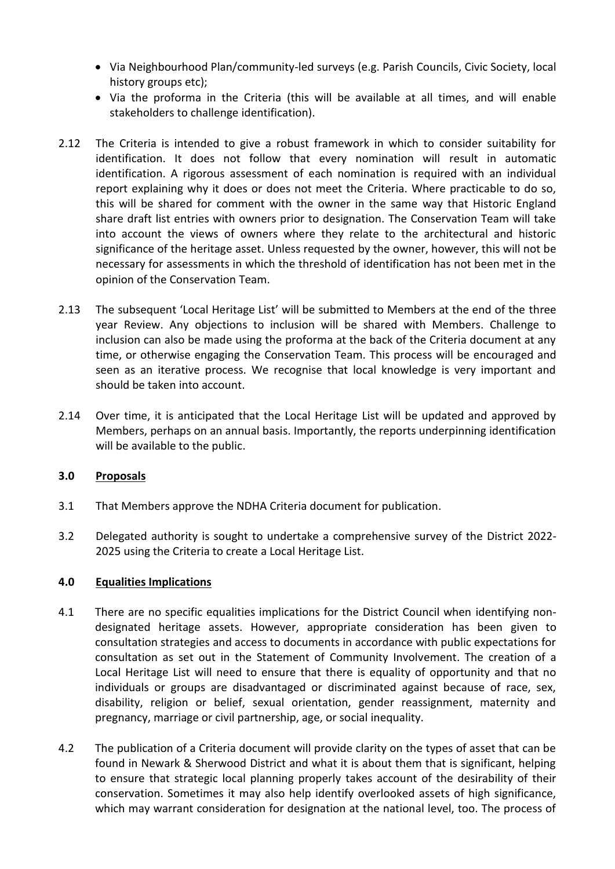- Via Neighbourhood Plan/community-led surveys (e.g. Parish Councils, Civic Society, local history groups etc);
- Via the proforma in the Criteria (this will be available at all times, and will enable stakeholders to challenge identification).
- 2.12 The Criteria is intended to give a robust framework in which to consider suitability for identification. It does not follow that every nomination will result in automatic identification. A rigorous assessment of each nomination is required with an individual report explaining why it does or does not meet the Criteria. Where practicable to do so, this will be shared for comment with the owner in the same way that Historic England share draft list entries with owners prior to designation. The Conservation Team will take into account the views of owners where they relate to the architectural and historic significance of the heritage asset. Unless requested by the owner, however, this will not be necessary for assessments in which the threshold of identification has not been met in the opinion of the Conservation Team.
- 2.13 The subsequent 'Local Heritage List' will be submitted to Members at the end of the three year Review. Any objections to inclusion will be shared with Members. Challenge to inclusion can also be made using the proforma at the back of the Criteria document at any time, or otherwise engaging the Conservation Team. This process will be encouraged and seen as an iterative process. We recognise that local knowledge is very important and should be taken into account.
- 2.14 Over time, it is anticipated that the Local Heritage List will be updated and approved by Members, perhaps on an annual basis. Importantly, the reports underpinning identification will be available to the public.

# **3.0 Proposals**

- 3.1 That Members approve the NDHA Criteria document for publication.
- 3.2 Delegated authority is sought to undertake a comprehensive survey of the District 2022- 2025 using the Criteria to create a Local Heritage List.

#### **4.0 Equalities Implications**

- 4.1 There are no specific equalities implications for the District Council when identifying nondesignated heritage assets. However, appropriate consideration has been given to consultation strategies and access to documents in accordance with public expectations for consultation as set out in the Statement of Community Involvement. The creation of a Local Heritage List will need to ensure that there is equality of opportunity and that no individuals or groups are disadvantaged or discriminated against because of race, sex, disability, religion or belief, sexual orientation, gender reassignment, maternity and pregnancy, marriage or civil partnership, age, or social inequality.
- 4.2 The publication of a Criteria document will provide clarity on the types of asset that can be found in Newark & Sherwood District and what it is about them that is significant, helping to ensure that strategic local planning properly takes account of the desirability of their conservation. Sometimes it may also help identify overlooked assets of high significance, which may warrant consideration for designation at the national level, too. The process of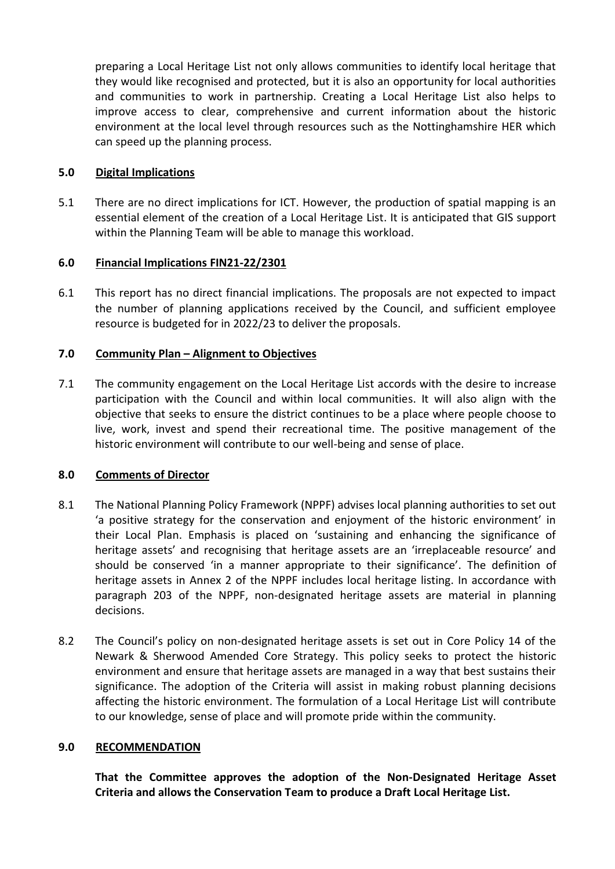preparing a Local Heritage List not only allows communities to identify local heritage that they would like recognised and protected, but it is also an opportunity for local authorities and communities to work in partnership. Creating a Local Heritage List also helps to improve access to clear, comprehensive and current information about the historic environment at the local level through resources such as the Nottinghamshire HER which can speed up the planning process.

# **5.0 Digital Implications**

5.1 There are no direct implications for ICT. However, the production of spatial mapping is an essential element of the creation of a Local Heritage List. It is anticipated that GIS support within the Planning Team will be able to manage this workload.

## **6.0 Financial Implications FIN21-22/2301**

6.1 This report has no direct financial implications. The proposals are not expected to impact the number of planning applications received by the Council, and sufficient employee resource is budgeted for in 2022/23 to deliver the proposals.

## **7.0 Community Plan – Alignment to Objectives**

7.1 The community engagement on the Local Heritage List accords with the desire to increase participation with the Council and within local communities. It will also align with the objective that seeks to ensure the district continues to be a place where people choose to live, work, invest and spend their recreational time. The positive management of the historic environment will contribute to our well-being and sense of place.

# **8.0 Comments of Director**

- 8.1 The National Planning Policy Framework (NPPF) advises local planning authorities to set out 'a positive strategy for the conservation and enjoyment of the historic environment' in their Local Plan. Emphasis is placed on 'sustaining and enhancing the significance of heritage assets' and recognising that heritage assets are an 'irreplaceable resource' and should be conserved 'in a manner appropriate to their significance'. The definition of heritage assets in Annex 2 of the NPPF includes local heritage listing. In accordance with paragraph 203 of the NPPF, non-designated heritage assets are material in planning decisions.
- 8.2 The Council's policy on non-designated heritage assets is set out in Core Policy 14 of the Newark & Sherwood Amended Core Strategy. This policy seeks to protect the historic environment and ensure that heritage assets are managed in a way that best sustains their significance. The adoption of the Criteria will assist in making robust planning decisions affecting the historic environment. The formulation of a Local Heritage List will contribute to our knowledge, sense of place and will promote pride within the community.

#### **9.0 RECOMMENDATION**

**That the Committee approves the adoption of the Non-Designated Heritage Asset Criteria and allows the Conservation Team to produce a Draft Local Heritage List.**